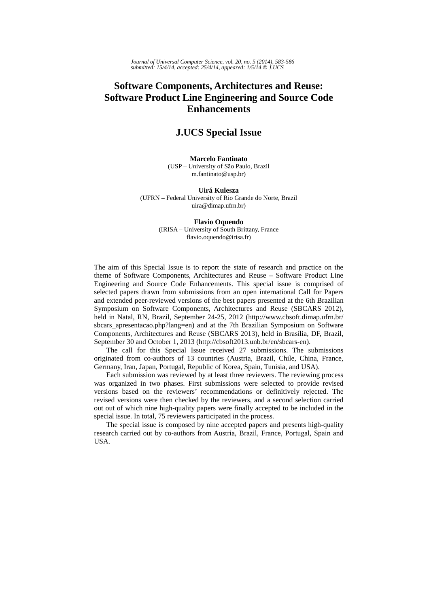## **Software Components, Architectures and Reuse: Software Product Line Engineering and Source Code Enhancements**

### **J.UCS Special Issue**

#### **Marcelo Fantinato**

(USP – University of São Paulo, Brazil m.fantinato@usp.br)

#### **Uirá Kulesza**

(UFRN – Federal University of Rio Grande do Norte, Brazil uira@dimap.ufrn.br)

#### **Flavio Oquendo**

(IRISA – University of South Brittany, France flavio.oquendo@irisa.fr)

The aim of this Special Issue is to report the state of research and practice on the theme of Software Components, Architectures and Reuse – Software Product Line Engineering and Source Code Enhancements. This special issue is comprised of selected papers drawn from submissions from an open international Call for Papers and extended peer-reviewed versions of the best papers presented at the 6th Brazilian Symposium on Software Components, Architectures and Reuse (SBCARS 2012), held in Natal, RN, Brazil, September 24-25, 2012 (http://www.cbsoft.dimap.ufrn.br/ sbcars\_apresentacao.php?lang=en) and at the 7th Brazilian Symposium on Software Components, Architectures and Reuse (SBCARS 2013), held in Brasília, DF, Brazil, September 30 and October 1, 2013 (http://cbsoft2013.unb.br/en/sbcars-en).

The call for this Special Issue received 27 submissions. The submissions originated from co-authors of 13 countries (Austria, Brazil, Chile, China, France, Germany, Iran, Japan, Portugal, Republic of Korea, Spain, Tunisia, and USA).

Each submission was reviewed by at least three reviewers. The reviewing process was organized in two phases. First submissions were selected to provide revised versions based on the reviewers' recommendations or definitively rejected. The revised versions were then checked by the reviewers, and a second selection carried out out of which nine high-quality papers were finally accepted to be included in the special issue. In total, 75 reviewers participated in the process.

The special issue is composed by nine accepted papers and presents high-quality research carried out by co-authors from Austria, Brazil, France, Portugal, Spain and USA.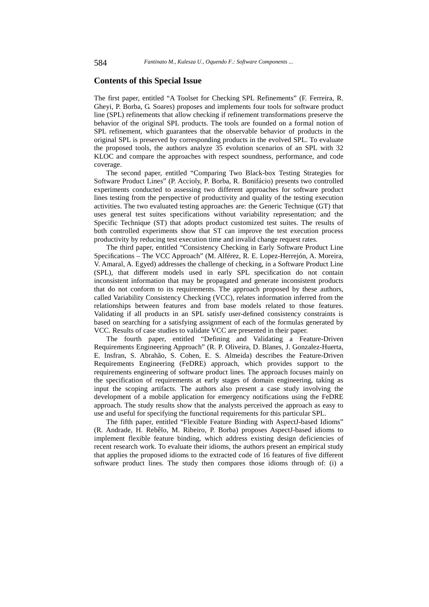#### **Contents of this Special Issue**

The first paper, entitled "A Toolset for Checking SPL Refinements" (F. Ferreira, R. Gheyi, P. Borba, G. Soares) proposes and implements four tools for software product line (SPL) refinements that allow checking if refinement transformations preserve the behavior of the original SPL products. The tools are founded on a formal notion of SPL refinement, which guarantees that the observable behavior of products in the original SPL is preserved by corresponding products in the evolved SPL. To evaluate the proposed tools, the authors analyze 35 evolution scenarios of an SPL with 32 KLOC and compare the approaches with respect soundness, performance, and code coverage.

The second paper, entitled "Comparing Two Black-box Testing Strategies for Software Product Lines" (P. Accioly, P. Borba, R. Bonifácio) presents two controlled experiments conducted to assessing two different approaches for software product lines testing from the perspective of productivity and quality of the testing execution activities. The two evaluated testing approaches are: the Generic Technique (GT) that uses general test suites specifications without variability representation; and the Specific Technique (ST) that adopts product customized test suites. The results of both controlled experiments show that ST can improve the test execution process productivity by reducing test execution time and invalid change request rates.

The third paper, entitled "Consistency Checking in Early Software Product Line Specifications – The VCC Approach" (M. Alférez, R. E. Lopez-Herrejón, A. Moreira, V. Amaral, A. Egyed) addresses the challenge of checking, in a Software Product Line (SPL), that different models used in early SPL specification do not contain inconsistent information that may be propagated and generate inconsistent products that do not conform to its requirements. The approach proposed by these authors, called Variability Consistency Checking (VCC), relates information inferred from the relationships between features and from base models related to those features. Validating if all products in an SPL satisfy user-defined consistency constraints is based on searching for a satisfying assignment of each of the formulas generated by VCC. Results of case studies to validate VCC are presented in their paper.

The fourth paper, entitled "Defining and Validating a Feature-Driven Requirements Engineering Approach" (R. P. Oliveira, D. Blanes, J. Gonzalez-Huerta, E. Insfran, S. Abrahão, S. Cohen, E. S. Almeida) describes the Feature-Driven Requirements Engineering (FeDRE) approach, which provides support to the requirements engineering of software product lines. The approach focuses mainly on the specification of requirements at early stages of domain engineering, taking as input the scoping artifacts. The authors also present a case study involving the development of a mobile application for emergency notifications using the FeDRE approach. The study results show that the analysts perceived the approach as easy to use and useful for specifying the functional requirements for this particular SPL.

The fifth paper, entitled "Flexible Feature Binding with AspectJ-based Idioms" (R. Andrade, H. Rebêlo, M. Ribeiro, P. Borba) proposes AspectJ-based idioms to implement flexible feature binding, which address existing design deficiencies of recent research work. To evaluate their idioms, the authors present an empirical study that applies the proposed idioms to the extracted code of 16 features of five different software product lines. The study then compares those idioms through of: (i) a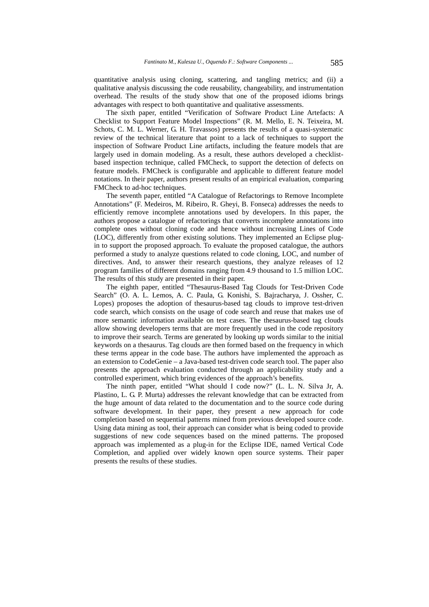quantitative analysis using cloning, scattering, and tangling metrics; and (ii) a qualitative analysis discussing the code reusability, changeability, and instrumentation overhead. The results of the study show that one of the proposed idioms brings advantages with respect to both quantitative and qualitative assessments.

The sixth paper, entitled "Verification of Software Product Line Artefacts: A Checklist to Support Feature Model Inspections" (R. M. Mello, E. N. Teixeira, M. Schots, C. M. L. Werner, G. H. Travassos) presents the results of a quasi-systematic review of the technical literature that point to a lack of techniques to support the inspection of Software Product Line artifacts, including the feature models that are largely used in domain modeling. As a result, these authors developed a checklistbased inspection technique, called FMCheck, to support the detection of defects on feature models. FMCheck is configurable and applicable to different feature model notations. In their paper, authors present results of an empirical evaluation, comparing FMCheck to ad-hoc techniques.

The seventh paper, entitled "A Catalogue of Refactorings to Remove Incomplete Annotations" (F. Medeiros, M. Ribeiro, R. Gheyi, B. Fonseca) addresses the needs to efficiently remove incomplete annotations used by developers. In this paper, the authors propose a catalogue of refactorings that converts incomplete annotations into complete ones without cloning code and hence without increasing Lines of Code (LOC), differently from other existing solutions. They implemented an Eclipse plugin to support the proposed approach. To evaluate the proposed catalogue, the authors performed a study to analyze questions related to code cloning, LOC, and number of directives. And, to answer their research questions, they analyze releases of 12 program families of different domains ranging from 4.9 thousand to 1.5 million LOC. The results of this study are presented in their paper.

The eighth paper, entitled "Thesaurus-Based Tag Clouds for Test-Driven Code Search" (O. A. L. Lemos, A. C. Paula, G. Konishi, S. Bajracharya, J. Ossher, C. Lopes) proposes the adoption of thesaurus-based tag clouds to improve test-driven code search, which consists on the usage of code search and reuse that makes use of more semantic information available on test cases. The thesaurus-based tag clouds allow showing developers terms that are more frequently used in the code repository to improve their search. Terms are generated by looking up words similar to the initial keywords on a thesaurus. Tag clouds are then formed based on the frequency in which these terms appear in the code base. The authors have implemented the approach as an extension to CodeGenie – a Java-based test-driven code search tool. The paper also presents the approach evaluation conducted through an applicability study and a controlled experiment, which bring evidences of the approach's benefits.

The ninth paper, entitled "What should I code now?" (L. L. N. Silva Jr, A. Plastino, L. G. P. Murta) addresses the relevant knowledge that can be extracted from the huge amount of data related to the documentation and to the source code during software development. In their paper, they present a new approach for code completion based on sequential patterns mined from previous developed source code. Using data mining as tool, their approach can consider what is being coded to provide suggestions of new code sequences based on the mined patterns. The proposed approach was implemented as a plug-in for the Eclipse IDE, named Vertical Code Completion, and applied over widely known open source systems. Their paper presents the results of these studies.